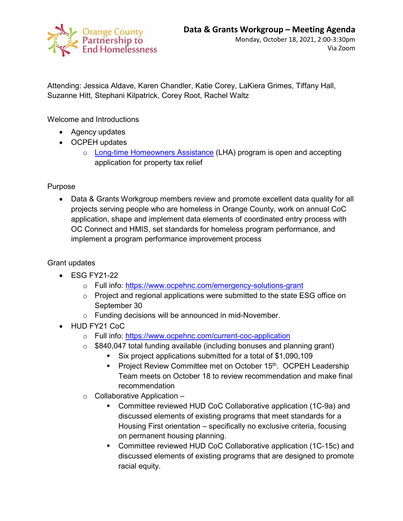

Attending: Jessica Aldave, Karen Chandler, Katie Corey, LaKiera Grimes, Tiffany Hall, Suzanne Hitt, Stephani Kilpatrick, Corey Root, Rachel Waltz

Welcome and Introductions

- Agency updates
- OCPEH updates
	- o [Long-time Homeowners Assistance](https://www.orangecountync.gov/2813/Longtime-Homeowner-Assistance-Program) (LHA) program is open and accepting application for property tax relief

Purpose

• Data & Grants Workgroup members review and promote excellent data quality for all projects serving people who are homeless in Orange County, work on annual CoC application, shape and implement data elements of coordinated entry process with OC Connect and HMIS, set standards for homeless program performance, and implement a program performance improvement process

Grant updates

- ESG FY21-22
	- o Full info:<https://www.ocpehnc.com/emergency-solutions-grant>
	- o Project and regional applications were submitted to the state ESG office on September 30
	- o Funding decisions will be announced in mid-November.
- HUD FY21 CoC
	- o Full info:<https://www.ocpehnc.com/current-coc-application>
	- $\circ$  \$840,047 total funding available (including bonuses and planning grant)
		- Six project applications submitted for a total of \$1,090,109
		- **Project Review Committee met on October 15th. OCPEH Leadership** Team meets on October 18 to review recommendation and make final recommendation
	- $\circ$  Collaborative Application
		- Committee reviewed HUD CoC Collaborative application (1C-9a) and discussed elements of existing programs that meet standards for a Housing First orientation – specifically no exclusive criteria, focusing on permanent housing planning.
		- Committee reviewed HUD CoC Collaborative application (1C-15c) and discussed elements of existing programs that are designed to promote racial equity.